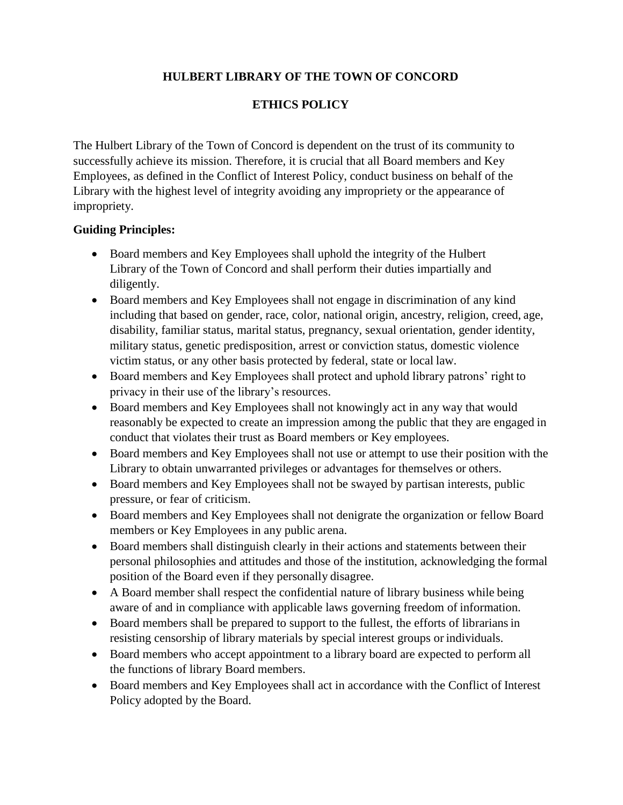## **HULBERT LIBRARY OF THE TOWN OF CONCORD**

## **ETHICS POLICY**

The Hulbert Library of the Town of Concord is dependent on the trust of its community to successfully achieve its mission. Therefore, it is crucial that all Board members and Key Employees, as defined in the Conflict of Interest Policy, conduct business on behalf of the Library with the highest level of integrity avoiding any impropriety or the appearance of impropriety.

## **Guiding Principles:**

- Board members and Key Employees shall uphold the integrity of the Hulbert Library of the Town of Concord and shall perform their duties impartially and diligently.
- Board members and Key Employees shall not engage in discrimination of any kind including that based on gender, race, color, national origin, ancestry, religion, creed, age, disability, familiar status, marital status, pregnancy, sexual orientation, gender identity, military status, genetic predisposition, arrest or conviction status, domestic violence victim status, or any other basis protected by federal, state or local law.
- Board members and Key Employees shall protect and uphold library patrons' right to privacy in their use of the library's resources.
- Board members and Key Employees shall not knowingly act in any way that would reasonably be expected to create an impression among the public that they are engaged in conduct that violates their trust as Board members or Key employees.
- Board members and Key Employees shall not use or attempt to use their position with the Library to obtain unwarranted privileges or advantages for themselves or others.
- Board members and Key Employees shall not be swayed by partisan interests, public pressure, or fear of criticism.
- Board members and Key Employees shall not denigrate the organization or fellow Board members or Key Employees in any public arena.
- Board members shall distinguish clearly in their actions and statements between their personal philosophies and attitudes and those of the institution, acknowledging the formal position of the Board even if they personally disagree.
- A Board member shall respect the confidential nature of library business while being aware of and in compliance with applicable laws governing freedom of information.
- Board members shall be prepared to support to the fullest, the efforts of librarians in resisting censorship of library materials by special interest groups or individuals.
- Board members who accept appointment to a library board are expected to perform all the functions of library Board members.
- Board members and Key Employees shall act in accordance with the Conflict of Interest Policy adopted by the Board.